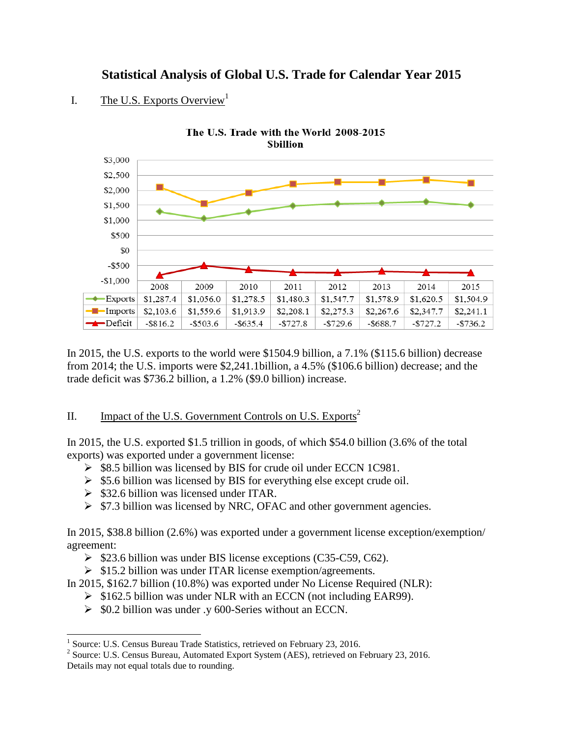## **Statistical Analysis of Global U.S. Trade for Calendar Year 2015**



#### I. The U.S. Exports Overview<sup>1</sup>

In 2015, the U.S. exports to the world were \$1504.9 billion, a 7.1% (\$115.6 billion) decrease from 2014; the U.S. imports were \$2,241.1billion, a 4.5% (\$106.6 billion) decrease; and the trade deficit was \$736.2 billion, a 1.2% (\$9.0 billion) increase.

#### II. Impact of the U.S. Government Controls on U.S. Exports<sup>2</sup>

In 2015, the U.S. exported \$1.5 trillion in goods, of which \$54.0 billion (3.6% of the total exports) was exported under a government license:

- $\triangleright$  \$8.5 billion was licensed by BIS for crude oil under ECCN 1C981.
- $\ge$  \$5.6 billion was licensed by BIS for everything else except crude oil.
- $\geq$  \$32.6 billion was licensed under ITAR.

l

 $\triangleright$  \$7.3 billion was licensed by NRC, OFAC and other government agencies.

In 2015, \$38.8 billion (2.6%) was exported under a government license exception/exemption/ agreement:

- $\triangleright$  \$23.6 billion was under BIS license exceptions (C35-C59, C62).
- $\triangleright$  \$15.2 billion was under ITAR license exemption/agreements.

In 2015, \$162.7 billion (10.8%) was exported under No License Required (NLR):

- $\triangleright$  \$162.5 billion was under NLR with an ECCN (not including EAR99).
- $\geq$  \$0.2 billion was under .y 600-Series without an ECCN.

<sup>&</sup>lt;sup>1</sup> Source: U.S. Census Bureau Trade Statistics, retrieved on February 23, 2016.

<sup>&</sup>lt;sup>2</sup> Source: U.S. Census Bureau, Automated Export System (AES), retrieved on February 23, 2016. Details may not equal totals due to rounding.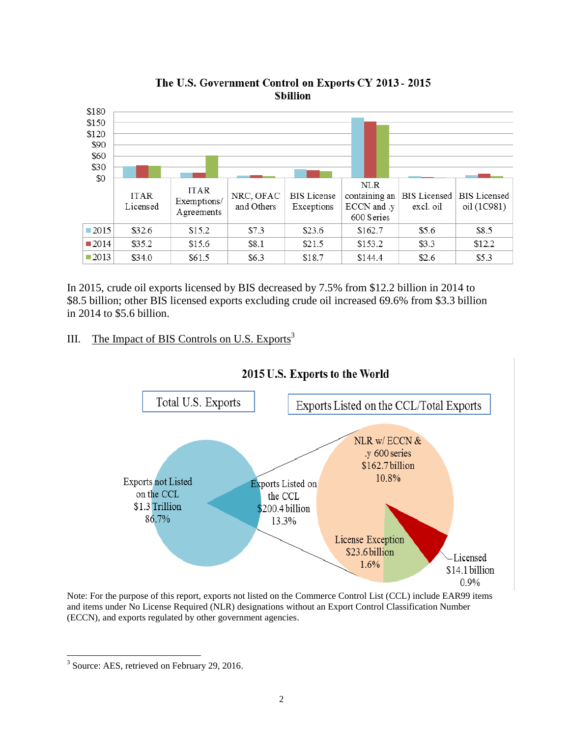

The U.S. Government Control on Exports CY 2013 - 2015 **Sbillion** 

In 2015, crude oil exports licensed by BIS decreased by 7.5% from \$12.2 billion in 2014 to \$8.5 billion; other BIS licensed exports excluding crude oil increased 69.6% from \$3.3 billion in 2014 to \$5.6 billion.

### III. The Impact of BIS Controls on U.S. Exports<sup>3</sup>



#### 2015 U.S. Exports to the World

Note: For the purpose of this report, exports not listed on the Commerce Control List (CCL) include EAR99 items and items under No License Required (NLR) designations without an Export Control Classification Number (ECCN), and exports regulated by other government agencies.

l <sup>3</sup> Source: AES, retrieved on February 29, 2016.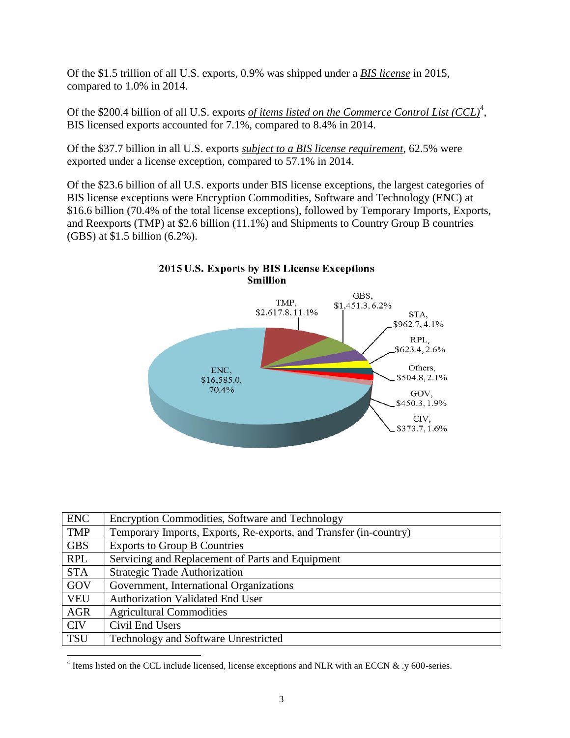Of the \$1.5 trillion of all U.S. exports, 0.9% was shipped under a *BIS license* in 2015, compared to 1.0% in 2014.

Of the \$200.4 billion of all U.S. exports *of items listed on the Commerce Control List (CCL)<sup>4</sup>*, BIS licensed exports accounted for 7.1%, compared to 8.4% in 2014.

Of the \$37.7 billion in all U.S. exports *subject to a BIS license requirement*, 62.5% were exported under a license exception, compared to 57.1% in 2014.

Of the \$23.6 billion of all U.S. exports under BIS license exceptions, the largest categories of BIS license exceptions were Encryption Commodities, Software and Technology (ENC) at \$16.6 billion (70.4% of the total license exceptions), followed by Temporary Imports, Exports, and Reexports (TMP) at \$2.6 billion (11.1%) and Shipments to Country Group B countries (GBS) at \$1.5 billion (6.2%).



| <b>ENC</b> | Encryption Commodities, Software and Technology                   |
|------------|-------------------------------------------------------------------|
| <b>TMP</b> | Temporary Imports, Exports, Re-exports, and Transfer (in-country) |
| <b>GBS</b> | <b>Exports to Group B Countries</b>                               |
| <b>RPL</b> | Servicing and Replacement of Parts and Equipment                  |
| <b>STA</b> | <b>Strategic Trade Authorization</b>                              |
| GOV        | Government, International Organizations                           |
| <b>VEU</b> | <b>Authorization Validated End User</b>                           |
| <b>AGR</b> | <b>Agricultural Commodities</b>                                   |
| <b>CIV</b> | Civil End Users                                                   |
| <b>TSU</b> | Technology and Software Unrestricted                              |

<sup>&</sup>lt;sup>4</sup> Items listed on the CCL include licensed, license exceptions and NLR with an ECCN  $\&$  .y 600-series.

l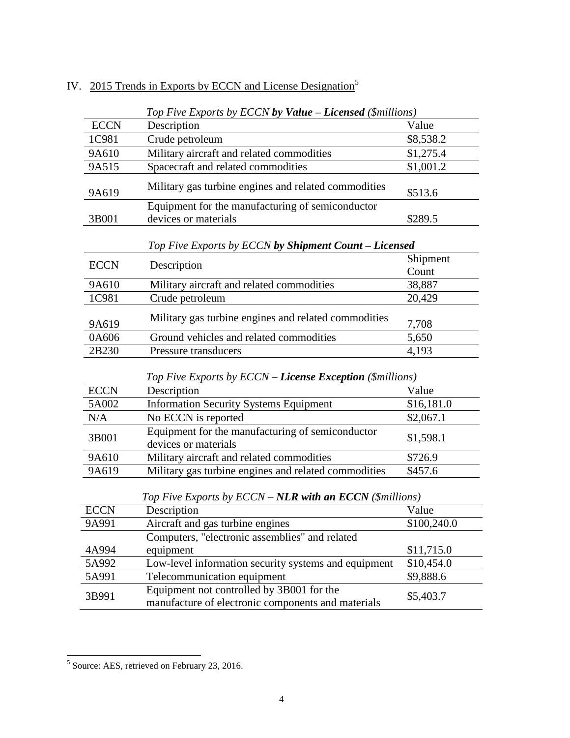|             | Top Five Exports by ECCN by Value - Licensed (\$millions)                                       |             |  |  |  |  |  |  |
|-------------|-------------------------------------------------------------------------------------------------|-------------|--|--|--|--|--|--|
| <b>ECCN</b> | Description                                                                                     | Value       |  |  |  |  |  |  |
| 1C981       | Crude petroleum                                                                                 | \$8,538.2   |  |  |  |  |  |  |
| 9A610       | Military aircraft and related commodities                                                       | \$1,275.4   |  |  |  |  |  |  |
| 9A515       | Spacecraft and related commodities                                                              | \$1,001.2   |  |  |  |  |  |  |
| 9A619       | Military gas turbine engines and related commodities                                            | \$513.6     |  |  |  |  |  |  |
|             | Equipment for the manufacturing of semiconductor                                                |             |  |  |  |  |  |  |
| 3B001       | devices or materials                                                                            | \$289.5     |  |  |  |  |  |  |
|             | Top Five Exports by ECCN by Shipment Count - Licensed                                           | Shipment    |  |  |  |  |  |  |
| <b>ECCN</b> | Description                                                                                     |             |  |  |  |  |  |  |
| 9A610       | Military aircraft and related commodities                                                       | 38,887      |  |  |  |  |  |  |
| 1C981       | Crude petroleum                                                                                 | 20,429      |  |  |  |  |  |  |
| 9A619       | Military gas turbine engines and related commodities                                            | 7,708       |  |  |  |  |  |  |
| 0A606       | Ground vehicles and related commodities                                                         | 5,650       |  |  |  |  |  |  |
| 2B230       | Pressure transducers                                                                            | 4,193       |  |  |  |  |  |  |
|             | Top Five Exports by ECCN – License Exception (\$millions)                                       |             |  |  |  |  |  |  |
| <b>ECCN</b> | Description                                                                                     | Value       |  |  |  |  |  |  |
| 5A002       | <b>Information Security Systems Equipment</b>                                                   | \$16,181.0  |  |  |  |  |  |  |
| N/A         | No ECCN is reported                                                                             | \$2,067.1   |  |  |  |  |  |  |
| 3B001       | Equipment for the manufacturing of semiconductor<br>devices or materials                        | \$1,598.1   |  |  |  |  |  |  |
| 9A610       | Military aircraft and related commodities                                                       | \$726.9     |  |  |  |  |  |  |
| 9A619       | Military gas turbine engines and related commodities                                            | \$457.6     |  |  |  |  |  |  |
|             | Top Five Exports by $ECCN - NLR$ with an $ECCN$ (\$millions)                                    |             |  |  |  |  |  |  |
| <b>ECCN</b> | Description                                                                                     | Value       |  |  |  |  |  |  |
| 9A991       | Aircraft and gas turbine engines                                                                | \$100,240.0 |  |  |  |  |  |  |
|             | Computers, "electronic assemblies" and related                                                  |             |  |  |  |  |  |  |
| 4A994       | equipment                                                                                       | \$11,715.0  |  |  |  |  |  |  |
| 5A992       | Low-level information security systems and equipment                                            | \$10,454.0  |  |  |  |  |  |  |
| 5A991       | Telecommunication equipment                                                                     | \$9,888.6   |  |  |  |  |  |  |
| 3B991       | Equipment not controlled by 3B001 for the<br>manufacture of electronic components and materials |             |  |  |  |  |  |  |

# IV. 2015 Trends in Exports by ECCN and License Designation<sup>5</sup>

<sup>&</sup>lt;sup>5</sup> Source: AES, retrieved on February 23, 2016.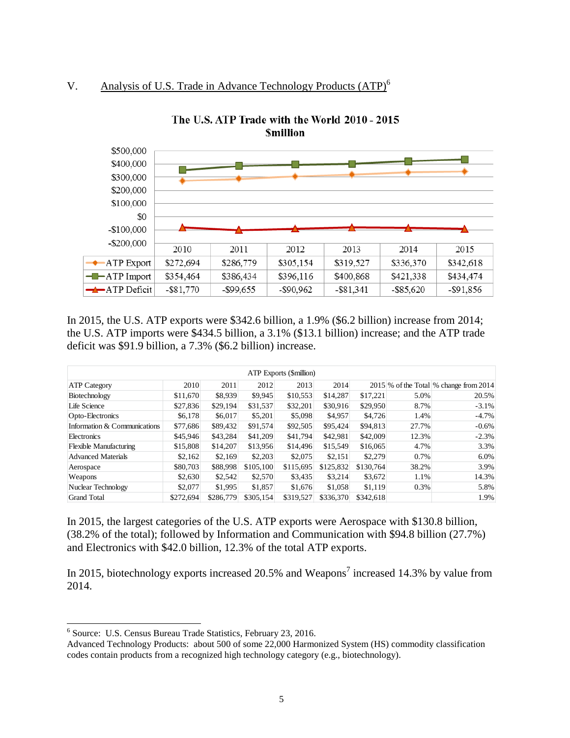### V. Analysis of U.S. Trade in Advance Technology Products (ATP)<sup>6</sup>



The U.S. ATP Trade with the World 2010 - 2015 **Smillion** 

In 2015, the U.S. ATP exports were \$342.6 billion, a 1.9% (\$6.2 billion) increase from 2014; the U.S. ATP imports were \$434.5 billion, a 3.1% (\$13.1 billion) increase; and the ATP trade deficit was \$91.9 billion, a 7.3% (\$6.2 billion) increase.

| <b>ATP</b> Exports (\$million) |           |           |           |           |           |           |       |                                          |  |  |  |
|--------------------------------|-----------|-----------|-----------|-----------|-----------|-----------|-------|------------------------------------------|--|--|--|
| <b>ATP</b> Category            | 2010      | 2011      | 2012      | 2013      | 2014      |           |       | $2015\%$ of the Total % change from 2014 |  |  |  |
| Biotechnology                  | \$11,670  | \$8,939   | \$9,945   | \$10,553  | \$14,287  | \$17.221  | 5.0%  | 20.5%                                    |  |  |  |
| Life Science                   | \$27,836  | \$29,194  | \$31,537  | \$32,201  | \$30,916  | \$29,950  | 8.7%  | $-3.1%$                                  |  |  |  |
| Opto-Electronics               | \$6,178   | \$6,017   | \$5,201   | \$5,098   | \$4,957   | \$4,726   | 1.4%  | $-4.7%$                                  |  |  |  |
| Information & Communications   | \$77,686  | \$89,432  | \$91,574  | \$92,505  | \$95,424  | \$94,813  | 27.7% | $-0.6\%$                                 |  |  |  |
| Electronics                    | \$45,946  | \$43,284  | \$41,209  | \$41,794  | \$42,981  | \$42,009  | 12.3% | $-2.3%$                                  |  |  |  |
| <b>Flexible Manufacturing</b>  | \$15,808  | \$14,207  | \$13,956  | \$14,496  | \$15,549  | \$16,065  | 4.7%  | 3.3%                                     |  |  |  |
| <b>Advanced Materials</b>      | \$2,162   | \$2,169   | \$2,203   | \$2,075   | \$2,151   | \$2,279   | 0.7%  | 6.0%                                     |  |  |  |
| Aerospace                      | \$80,703  | \$88,998  | \$105,100 | \$115,695 | \$125,832 | \$130,764 | 38.2% | 3.9%                                     |  |  |  |
| Weapons                        | \$2,630   | \$2,542   | \$2,570   | \$3,435   | \$3,214   | \$3,672   | 1.1%  | 14.3%                                    |  |  |  |
| Nuclear Technology             | \$2,077   | \$1,995   | \$1,857   | \$1,676   | \$1,058   | \$1.119   | 0.3%  | 5.8%                                     |  |  |  |
| <b>Grand Total</b>             | \$272,694 | \$286,779 | \$305,154 | \$319,527 | \$336,370 | \$342,618 |       | 1.9%                                     |  |  |  |

In 2015, the largest categories of the U.S. ATP exports were Aerospace with \$130.8 billion, (38.2% of the total); followed by Information and Communication with \$94.8 billion (27.7%) and Electronics with \$42.0 billion, 12.3% of the total ATP exports.

In 2015, biotechnology exports increased 20.5% and Weapons<sup>7</sup> increased 14.3% by value from 2014.

 $\overline{\phantom{a}}$ 

<sup>6</sup> Source: U.S. Census Bureau Trade Statistics, February 23, 2016.

Advanced Technology Products: about 500 of some 22,000 Harmonized System (HS) commodity classification codes contain products from a recognized high technology category (e.g., biotechnology).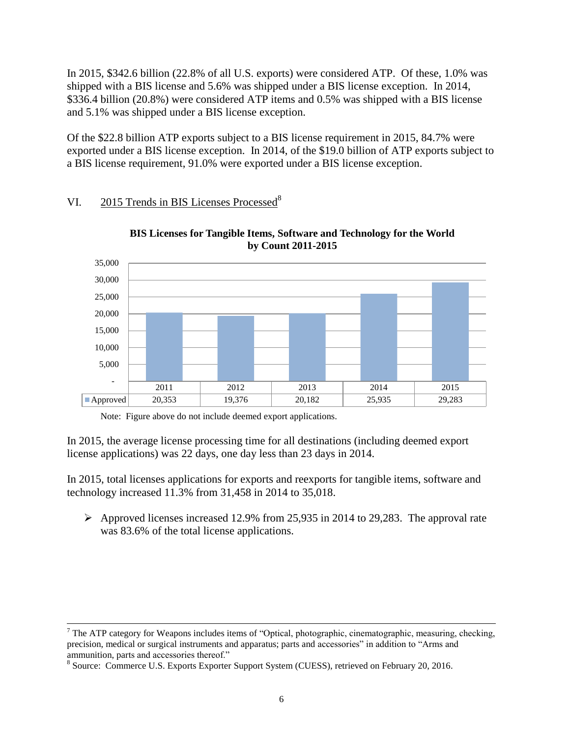In 2015, \$342.6 billion (22.8% of all U.S. exports) were considered ATP. Of these, 1.0% was shipped with a BIS license and 5.6% was shipped under a BIS license exception. In 2014, \$336.4 billion (20.8%) were considered ATP items and 0.5% was shipped with a BIS license and 5.1% was shipped under a BIS license exception.

Of the \$22.8 billion ATP exports subject to a BIS license requirement in 2015, 84.7% were exported under a BIS license exception. In 2014, of the \$19.0 billion of ATP exports subject to a BIS license requirement, 91.0% were exported under a BIS license exception.

#### VI. 2015 Trends in BIS Licenses Processed<sup>8</sup>

 $\overline{\phantom{a}}$ 





Note: Figure above do not include deemed export applications.

In 2015, the average license processing time for all destinations (including deemed export license applications) was 22 days, one day less than 23 days in 2014.

In 2015, total licenses applications for exports and reexports for tangible items, software and technology increased 11.3% from 31,458 in 2014 to 35,018.

 $\triangleright$  Approved licenses increased 12.9% from 25,935 in 2014 to 29,283. The approval rate was 83.6% of the total license applications.

<sup>&</sup>lt;sup>7</sup> The ATP category for Weapons includes items of "Optical, photographic, cinematographic, measuring, checking, precision, medical or surgical instruments and apparatus; parts and accessories" in addition to "Arms and ammunition, parts and accessories thereof."

<sup>&</sup>lt;sup>8</sup> Source: Commerce U.S. Exports Exporter Support System (CUESS), retrieved on February 20, 2016.